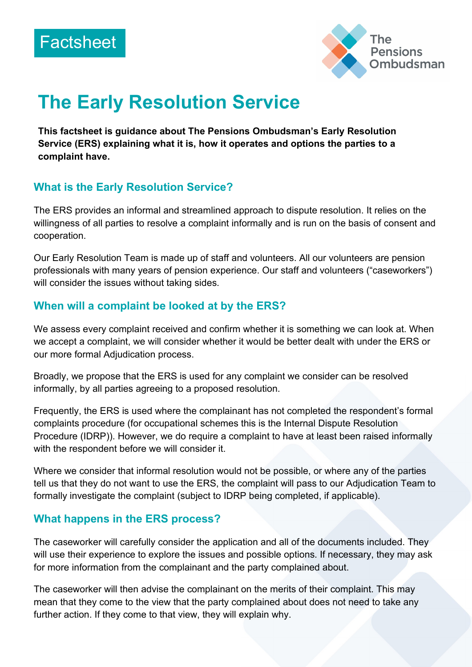



# **The Early Resolution Service**

**This factsheet is guidance about The Pensions Ombudsman's Early Resolution Service (ERS) explaining what it is, how it operates and options the parties to a complaint have.**

#### **What is the Early Resolution Service?**

The ERS provides an informal and streamlined approach to dispute resolution. It relies on the willingness of all parties to resolve a complaint informally and is run on the basis of consent and cooperation.

Our Early Resolution Team is made up of staff and volunteers. All our volunteers are pension professionals with many years of pension experience. Our staff and volunteers ("caseworkers") will consider the issues without taking sides.

#### **When will a complaint be looked at by the ERS?**

We assess every complaint received and confirm whether it is something we can look at. When we accept a complaint, we will consider whether it would be better dealt with under the ERS or our more formal Adjudication process.

Broadly, we propose that the ERS is used for any complaint we consider can be resolved informally, by all parties agreeing to a proposed resolution.

Frequently, the ERS is used where the complainant has not completed the respondent's formal complaints procedure (for occupational schemes this is the Internal Dispute Resolution Procedure (IDRP)). However, we do require a complaint to have at least been raised informally with the respondent before we will consider it.

Where we consider that informal resolution would not be possible, or where any of the parties tell us that they do not want to use the ERS, the complaint will pass to our Adjudication Team to formally investigate the complaint (subject to IDRP being completed, if applicable).

#### **What happens in the ERS process?**

The caseworker will carefully consider the application and all of the documents included. They will use their experience to explore the issues and possible options. If necessary, they may ask for more information from the complainant and the party complained about.

The caseworker will then advise the complainant on the merits of their complaint. This may mean that they come to the view that the party complained about does not need to take any further action. If they come to that view, they will explain why.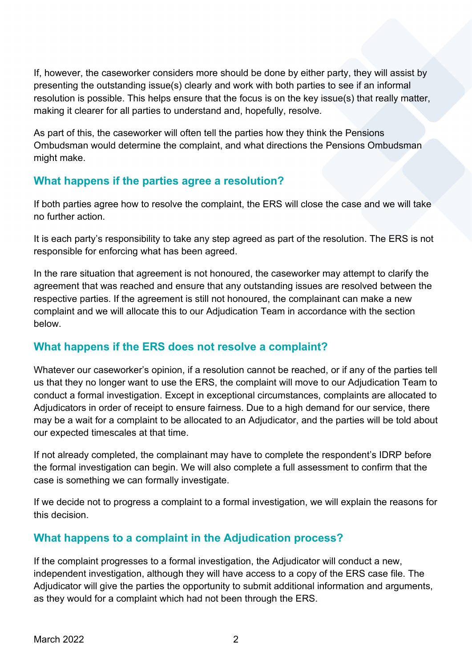If, however, the caseworker considers more should be done by either party, they will assist by presenting the outstanding issue(s) clearly and work with both parties to see if an informal resolution is possible. This helps ensure that the focus is on the key issue(s) that really matter, making it clearer for all parties to understand and, hopefully, resolve.

As part of this, the caseworker will often tell the parties how they think the Pensions Ombudsman would determine the complaint, and what directions the Pensions Ombudsman might make.

## **What happens if the parties agree a resolution?**

If both parties agree how to resolve the complaint, the ERS will close the case and we will take no further action.

It is each party's responsibility to take any step agreed as part of the resolution. The ERS is not responsible for enforcing what has been agreed.

In the rare situation that agreement is not honoured, the caseworker may attempt to clarify the agreement that was reached and ensure that any outstanding issues are resolved between the respective parties. If the agreement is still not honoured, the complainant can make a new complaint and we will allocate this to our Adjudication Team in accordance with the section below.

#### **What happens if the ERS does not resolve a complaint?**

Whatever our caseworker's opinion, if a resolution cannot be reached, or if any of the parties tell us that they no longer want to use the ERS, the complaint will move to our Adjudication Team to conduct a formal investigation. Except in exceptional circumstances, complaints are allocated to Adjudicators in order of receipt to ensure fairness. Due to a high demand for our service, there may be a wait for a complaint to be allocated to an Adjudicator, and the parties will be told about our expected timescales at that time.

If not already completed, the complainant may have to complete the respondent's IDRP before the formal investigation can begin. We will also complete a full assessment to confirm that the case is something we can formally investigate.

If we decide not to progress a complaint to a formal investigation, we will explain the reasons for this decision.

#### **What happens to a complaint in the Adjudication process?**

If the complaint progresses to a formal investigation, the Adjudicator will conduct a new, independent investigation, although they will have access to a copy of the ERS case file. The Adjudicator will give the parties the opportunity to submit additional information and arguments, as they would for a complaint which had not been through the ERS.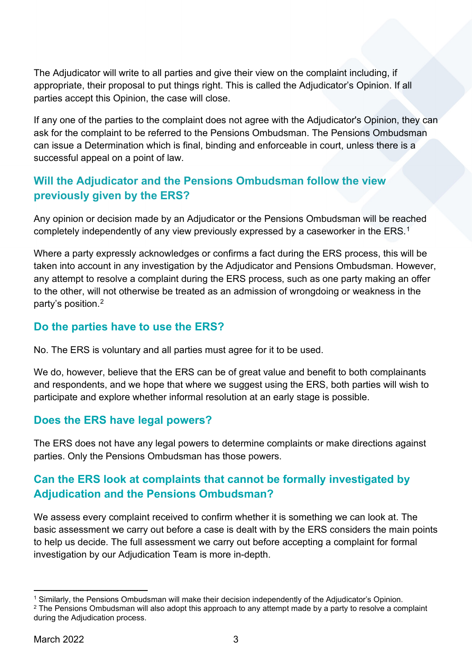The Adjudicator will write to all parties and give their view on the complaint including, if appropriate, their proposal to put things right. This is called the Adjudicator's Opinion. If all parties accept this Opinion, the case will close.

If any one of the parties to the complaint does not agree with the Adjudicator's Opinion, they can ask for the complaint to be referred to the Pensions Ombudsman. The Pensions Ombudsman can issue a Determination which is final, binding and enforceable in court, unless there is a successful appeal on a point of law.

## **Will the Adjudicator and the Pensions Ombudsman follow the view previously given by the ERS?**

Any opinion or decision made by an Adjudicator or the Pensions Ombudsman will be reached completely independently of any view previously expressed by a caseworker in the ERS.<sup>[1](#page-2-0)</sup>

Where a party expressly acknowledges or confirms a fact during the ERS process, this will be taken into account in any investigation by the Adjudicator and Pensions Ombudsman. However, any attempt to resolve a complaint during the ERS process, such as one party making an offer to the other, will not otherwise be treated as an admission of wrongdoing or weakness in the party's position[.2](#page-2-1)

#### **Do the parties have to use the ERS?**

No. The ERS is voluntary and all parties must agree for it to be used.

We do, however, believe that the ERS can be of great value and benefit to both complainants and respondents, and we hope that where we suggest using the ERS, both parties will wish to participate and explore whether informal resolution at an early stage is possible.

#### **Does the ERS have legal powers?**

The ERS does not have any legal powers to determine complaints or make directions against parties. Only the Pensions Ombudsman has those powers.

# **Can the ERS look at complaints that cannot be formally investigated by Adjudication and the Pensions Ombudsman?**

We assess every complaint received to confirm whether it is something we can look at. The basic assessment we carry out before a case is dealt with by the ERS considers the main points to help us decide. The full assessment we carry out before accepting a complaint for formal investigation by our Adjudication Team is more in-depth.

<span id="page-2-1"></span><span id="page-2-0"></span><sup>1</sup> Similarly, the Pensions Ombudsman will make their decision independently of the Adjudicator's Opinion. <sup>2</sup> The Pensions Ombudsman will also adopt this approach to any attempt made by a party to resolve a complaint during the Adjudication process.